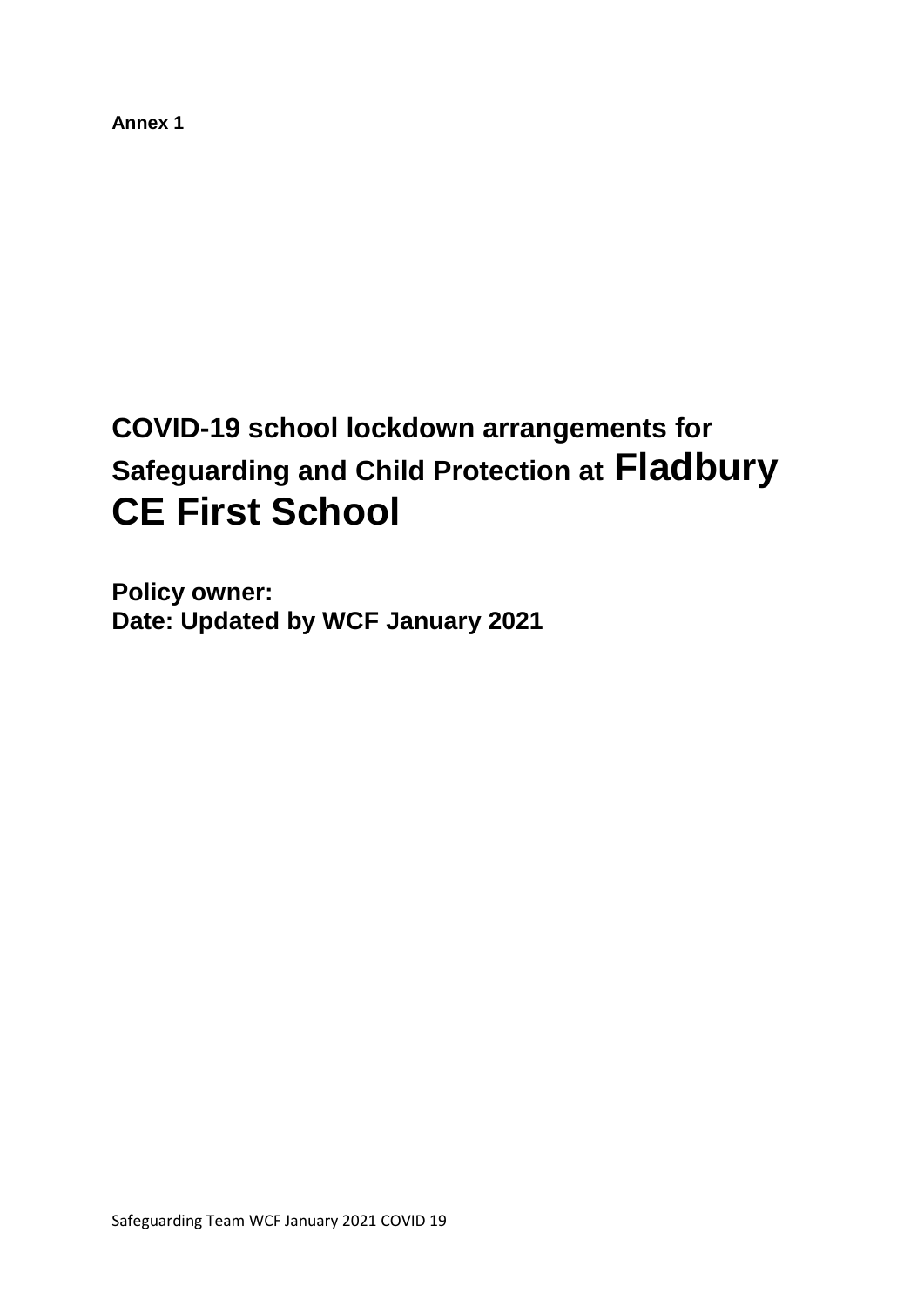**Annex 1**

# **COVID-19 school lockdown arrangements for Safeguarding and Child Protection at Fladbury CE First School**

**Policy owner:**  Date: Updated by WCF January 2021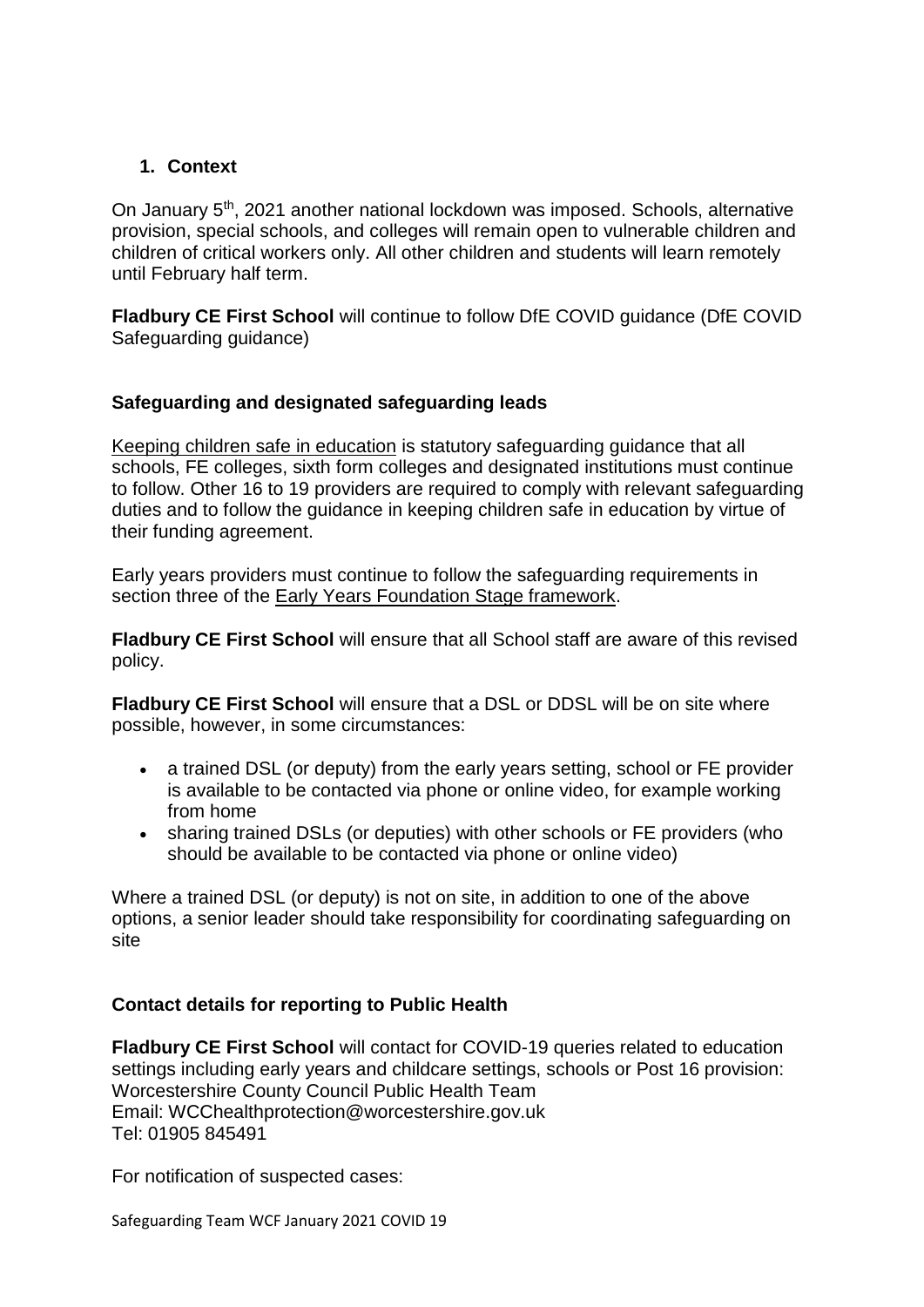# **1. Context**

On January 5th, 2021 another national lockdown was imposed. Schools, alternative provision, special schools, and colleges will remain open to vulnerable children and children of critical workers only. All other children and students will learn remotely until February half term.

**Fladbury CE First School** will continue to follow DfE COVID guidance (DfE COVID Safeguarding guidance)

### **Safeguarding and designated safeguarding leads**

[Keeping children safe in education](https://www.gov.uk/government/publications/keeping-children-safe-in-education--2) is statutory safeguarding guidance that all schools, FE colleges, sixth form colleges and designated institutions must continue to follow. Other 16 to 19 providers are required to comply with relevant safeguarding duties and to follow the guidance in keeping children safe in education by virtue of their funding agreement.

Early years providers must continue to follow the safeguarding requirements in section three of the [Early Years Foundation Stage framework.](https://www.gov.uk/government/publications/early-years-foundation-stage-framework--2)

**Fladbury CE First School** will ensure that all School staff are aware of this revised policy.

**Fladbury CE First School** will ensure that a DSL or DDSL will be on site where possible, however, in some circumstances:

- a trained DSL (or deputy) from the early years setting, school or FE provider is available to be contacted via phone or online video, for example working from home
- sharing trained DSLs (or deputies) with other schools or FE providers (who should be available to be contacted via phone or online video)

Where a trained DSL (or deputy) is not on site, in addition to one of the above options, a senior leader should take responsibility for coordinating safeguarding on site

#### **Contact details for reporting to Public Health**

**Fladbury CE First School** will contact for COVID-19 queries related to education settings including early years and childcare settings, schools or Post 16 provision: Worcestershire County Council Public Health Team Email: WCChealthprotection@worcestershire.gov.uk Tel: 01905 845491

For notification of suspected cases: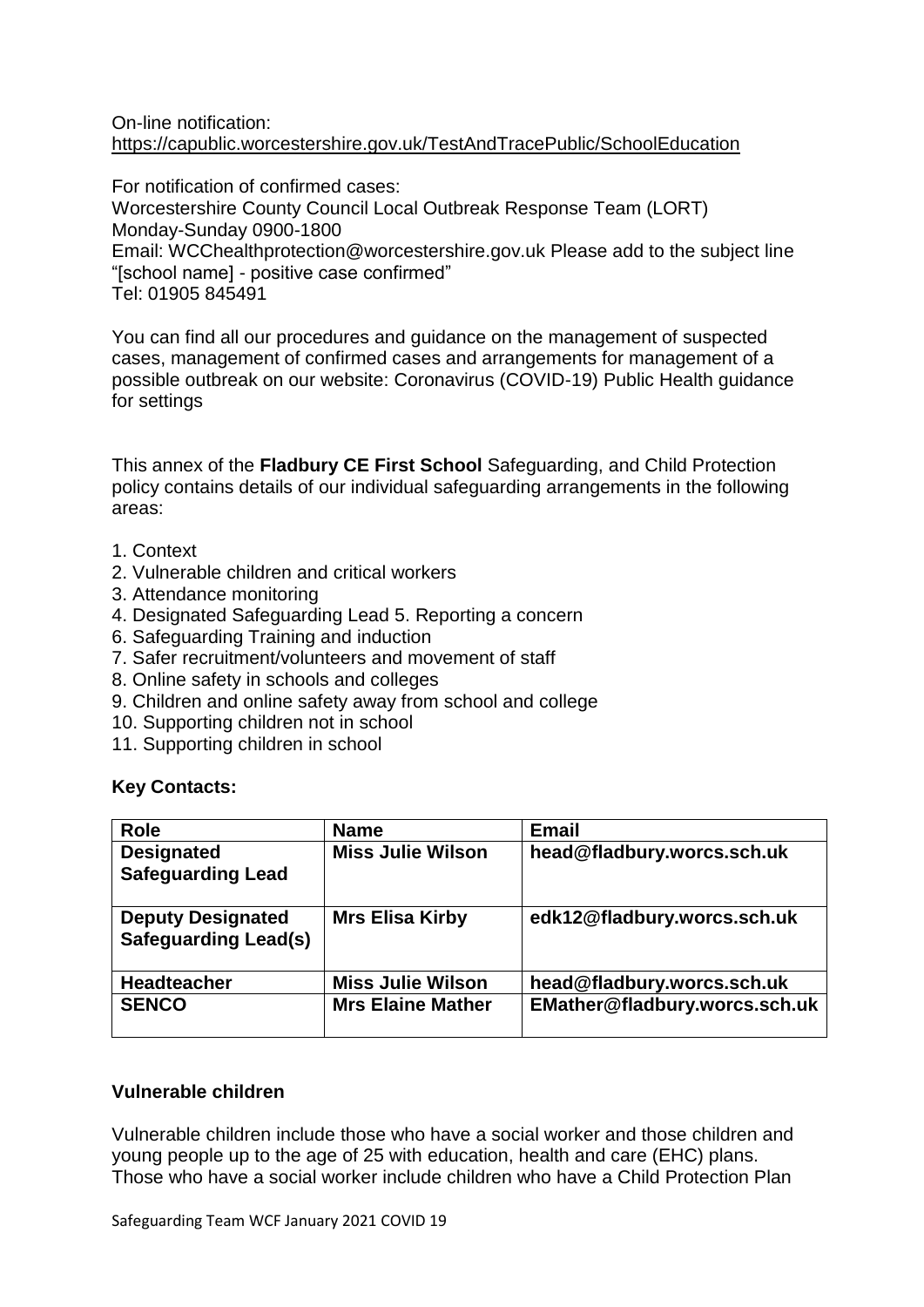#### On-line notification: <https://capublic.worcestershire.gov.uk/TestAndTracePublic/SchoolEducation>

For notification of confirmed cases: Worcestershire County Council Local Outbreak Response Team (LORT) Monday-Sunday 0900-1800 Email: WCChealthprotection@worcestershire.gov.uk Please add to the subject line "[school name] - positive case confirmed" Tel: 01905 845491

You can find all our procedures and guidance on the management of suspected cases, management of confirmed cases and arrangements for management of a possible outbreak on our website: Coronavirus (COVID-19) Public Health guidance for settings

This annex of the **Fladbury CE First School** Safeguarding, and Child Protection policy contains details of our individual safeguarding arrangements in the following areas:

- 1. Context
- 2. Vulnerable children and critical workers
- 3. Attendance monitoring
- 4. Designated Safeguarding Lead 5. Reporting a concern
- 6. Safeguarding Training and induction
- 7. Safer recruitment/volunteers and movement of staff
- 8. Online safety in schools and colleges
- 9. Children and online safety away from school and college
- 10. Supporting children not in school
- 11. Supporting children in school

# **Key Contacts:**

| <b>Role</b>                                             | <b>Name</b>              | <b>Email</b>                  |
|---------------------------------------------------------|--------------------------|-------------------------------|
| <b>Designated</b><br><b>Safeguarding Lead</b>           | <b>Miss Julie Wilson</b> | head@fladbury.worcs.sch.uk    |
|                                                         |                          |                               |
| <b>Deputy Designated</b><br><b>Safeguarding Lead(s)</b> | <b>Mrs Elisa Kirby</b>   | edk12@fladbury.worcs.sch.uk   |
| <b>Headteacher</b>                                      | <b>Miss Julie Wilson</b> | head@fladbury.worcs.sch.uk    |
| <b>SENCO</b>                                            | <b>Mrs Elaine Mather</b> | EMather@fladbury.worcs.sch.uk |

#### **Vulnerable children**

Vulnerable children include those who have a social worker and those children and young people up to the age of 25 with education, health and care (EHC) plans. Those who have a social worker include children who have a Child Protection Plan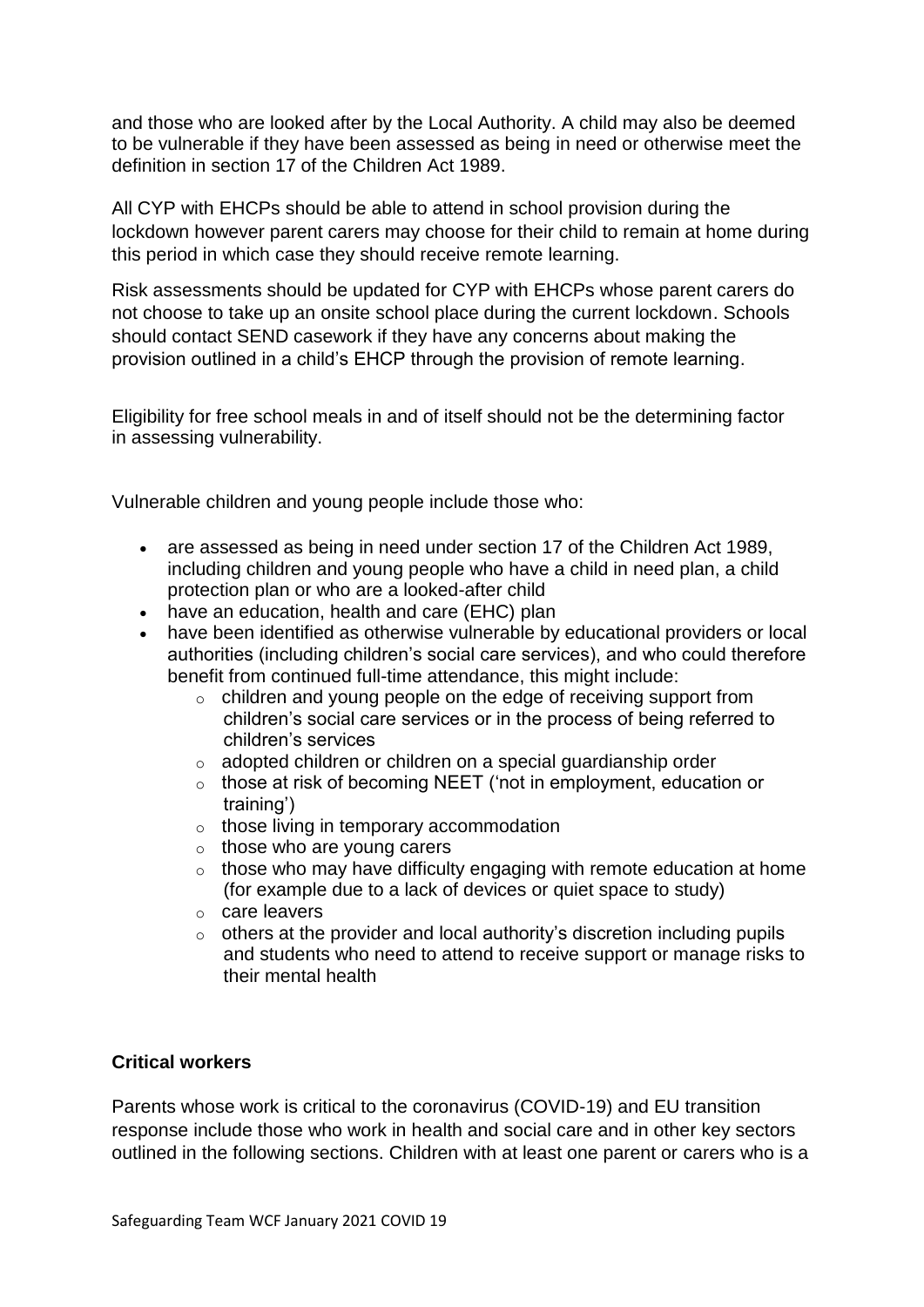and those who are looked after by the Local Authority. A child may also be deemed to be vulnerable if they have been assessed as being in need or otherwise meet the definition in section 17 of the Children Act 1989.

All CYP with EHCPs should be able to attend in school provision during the lockdown however parent carers may choose for their child to remain at home during this period in which case they should receive remote learning.

Risk assessments should be updated for CYP with EHCPs whose parent carers do not choose to take up an onsite school place during the current lockdown. Schools should contact SEND casework if they have any concerns about making the provision outlined in a child's EHCP through the provision of remote learning.

Eligibility for free school meals in and of itself should not be the determining factor in assessing vulnerability.

Vulnerable children and young people include those who:

- are assessed as being in need under section 17 of the Children Act 1989, including children and young people who have a child in need plan, a child protection plan or who are a looked-after child
- have an education, health and care (EHC) plan
- have been identified as otherwise vulnerable by educational providers or local authorities (including children's social care services), and who could therefore benefit from continued full-time attendance, this might include:
	- o children and young people on the edge of receiving support from children's social care services or in the process of being referred to children's services
	- o adopted children or children on a special guardianship order
	- o those at risk of becoming NEET ('not in employment, education or training')
	- o those living in temporary accommodation
	- $\circ$  those who are young carers
	- $\circ$  those who may have difficulty engaging with remote education at home (for example due to a lack of devices or quiet space to study)
	- o care leavers
	- $\circ$  others at the provider and local authority's discretion including pupils and students who need to attend to receive support or manage risks to their mental health

#### **Critical workers**

Parents whose work is critical to the coronavirus (COVID-19) and EU transition response include those who work in health and social care and in other key sectors outlined in the following sections. Children with at least one parent or carers who is a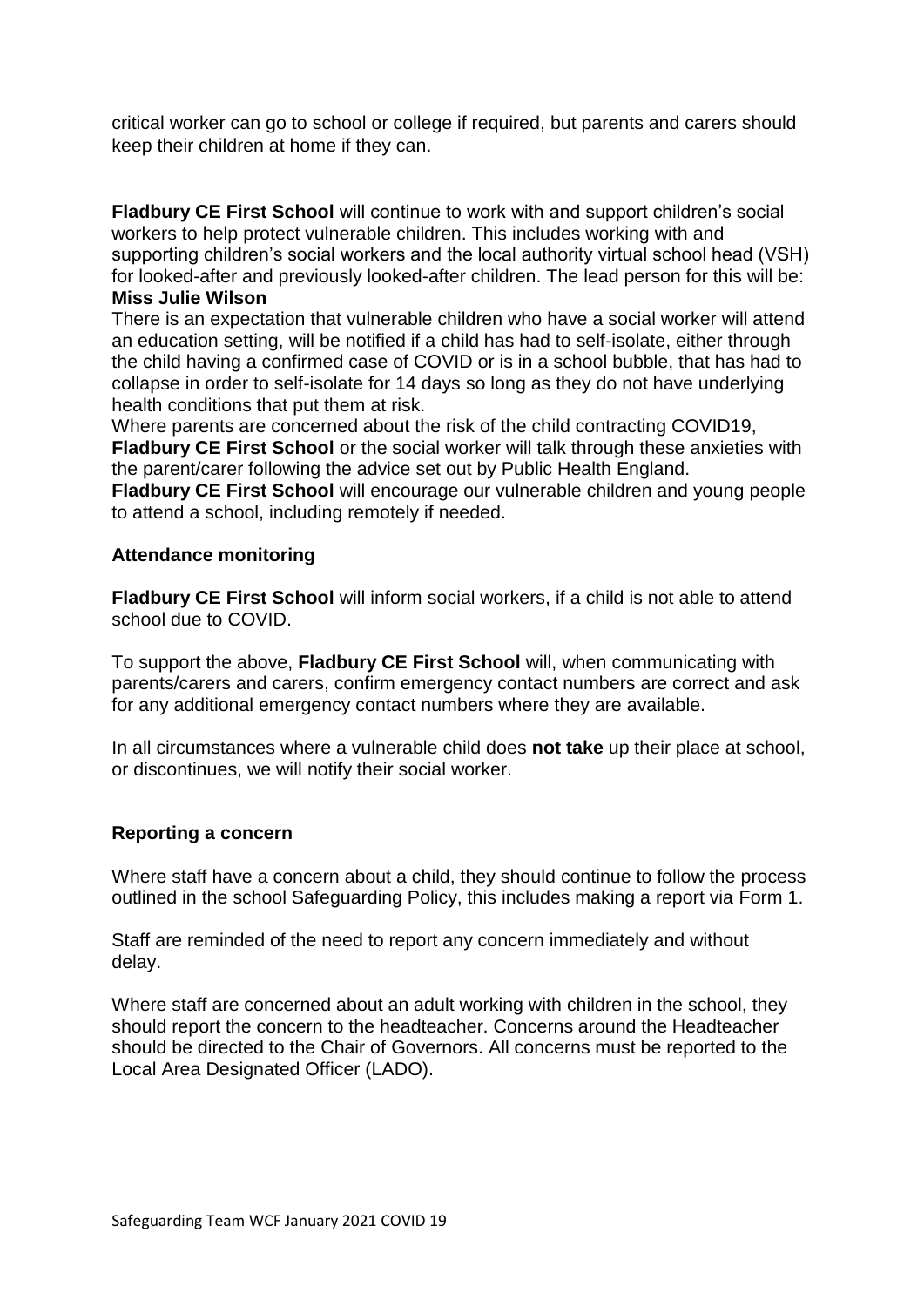critical worker can go to school or college if required, but parents and carers should keep their children at home if they can.

**Fladbury CE First School** will continue to work with and support children's social workers to help protect vulnerable children. This includes working with and supporting children's social workers and the local authority virtual school head (VSH) for looked-after and previously looked-after children. The lead person for this will be: **Miss Julie Wilson**

There is an expectation that vulnerable children who have a social worker will attend an education setting, will be notified if a child has had to self-isolate, either through the child having a confirmed case of COVID or is in a school bubble, that has had to collapse in order to self-isolate for 14 days so long as they do not have underlying health conditions that put them at risk.

Where parents are concerned about the risk of the child contracting COVID19, **Fladbury CE First School** or the social worker will talk through these anxieties with the parent/carer following the advice set out by Public Health England.

**Fladbury CE First School** will encourage our vulnerable children and young people to attend a school, including remotely if needed.

#### **Attendance monitoring**

**Fladbury CE First School** will inform social workers, if a child is not able to attend school due to COVID.

To support the above, **Fladbury CE First School** will, when communicating with parents/carers and carers, confirm emergency contact numbers are correct and ask for any additional emergency contact numbers where they are available.

In all circumstances where a vulnerable child does **not take** up their place at school, or discontinues, we will notify their social worker.

#### **Reporting a concern**

Where staff have a concern about a child, they should continue to follow the process outlined in the school Safeguarding Policy, this includes making a report via Form 1.

Staff are reminded of the need to report any concern immediately and without delay.

Where staff are concerned about an adult working with children in the school, they should report the concern to the headteacher. Concerns around the Headteacher should be directed to the Chair of Governors. All concerns must be reported to the Local Area Designated Officer (LADO).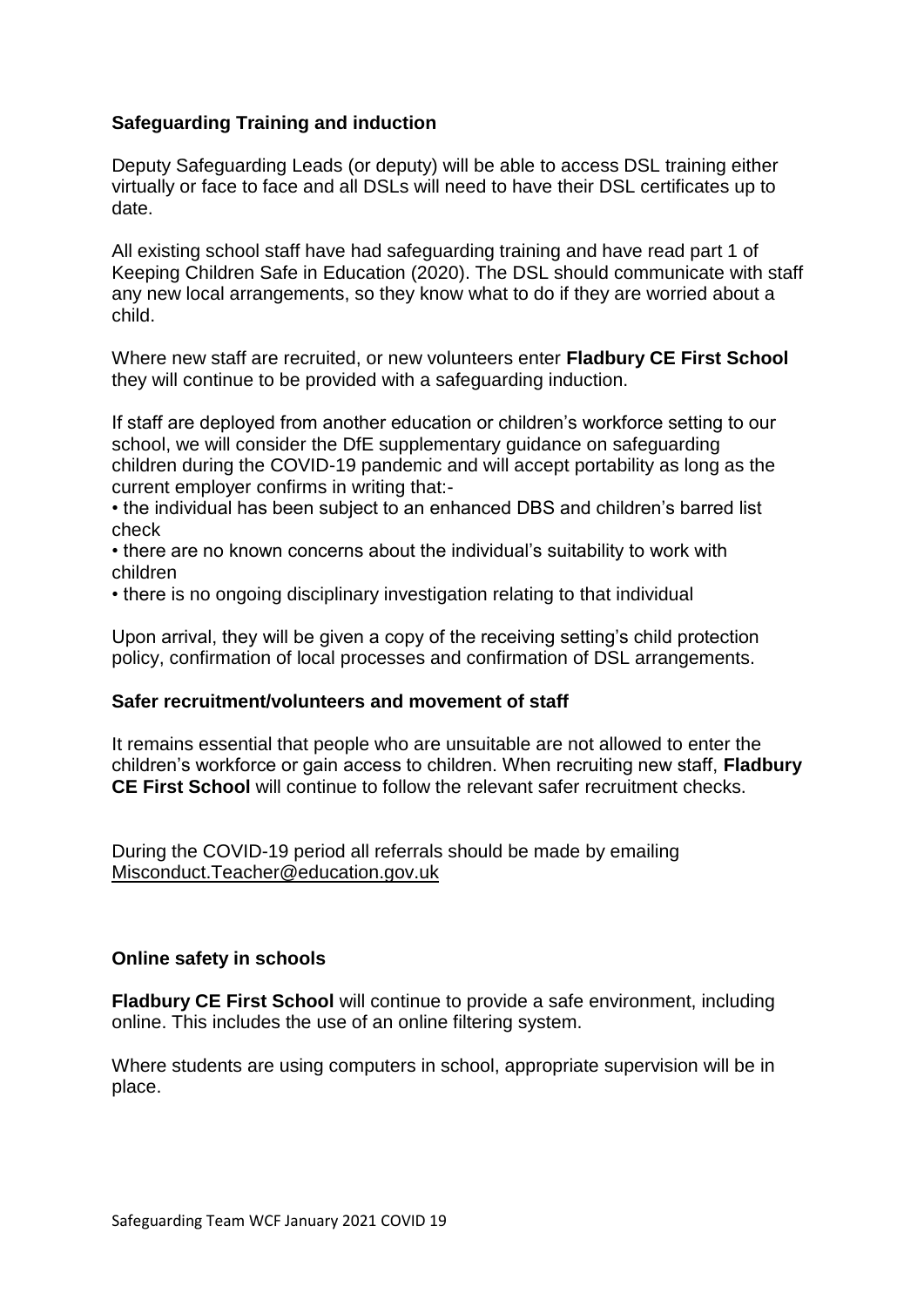# **Safeguarding Training and induction**

Deputy Safeguarding Leads (or deputy) will be able to access DSL training either virtually or face to face and all DSLs will need to have their DSL certificates up to date.

All existing school staff have had safeguarding training and have read part 1 of Keeping Children Safe in Education (2020). The DSL should communicate with staff any new local arrangements, so they know what to do if they are worried about a child.

Where new staff are recruited, or new volunteers enter **Fladbury CE First School** they will continue to be provided with a safeguarding induction.

If staff are deployed from another education or children's workforce setting to our school, we will consider the DfE supplementary guidance on safeguarding children during the COVID-19 pandemic and will accept portability as long as the current employer confirms in writing that:-

• the individual has been subject to an enhanced DBS and children's barred list check

• there are no known concerns about the individual's suitability to work with children

• there is no ongoing disciplinary investigation relating to that individual

Upon arrival, they will be given a copy of the receiving setting's child protection policy, confirmation of local processes and confirmation of DSL arrangements.

#### **Safer recruitment/volunteers and movement of staff**

It remains essential that people who are unsuitable are not allowed to enter the children's workforce or gain access to children. When recruiting new staff, **Fladbury CE First School** will continue to follow the relevant safer recruitment checks.

During the COVID-19 period all referrals should be made by emailing [Misconduct.Teacher@education.gov.uk](mailto:Misconduct.Teacher@education.gov.uk)

#### **Online safety in schools**

**Fladbury CE First School** will continue to provide a safe environment, including online. This includes the use of an online filtering system.

Where students are using computers in school, appropriate supervision will be in place.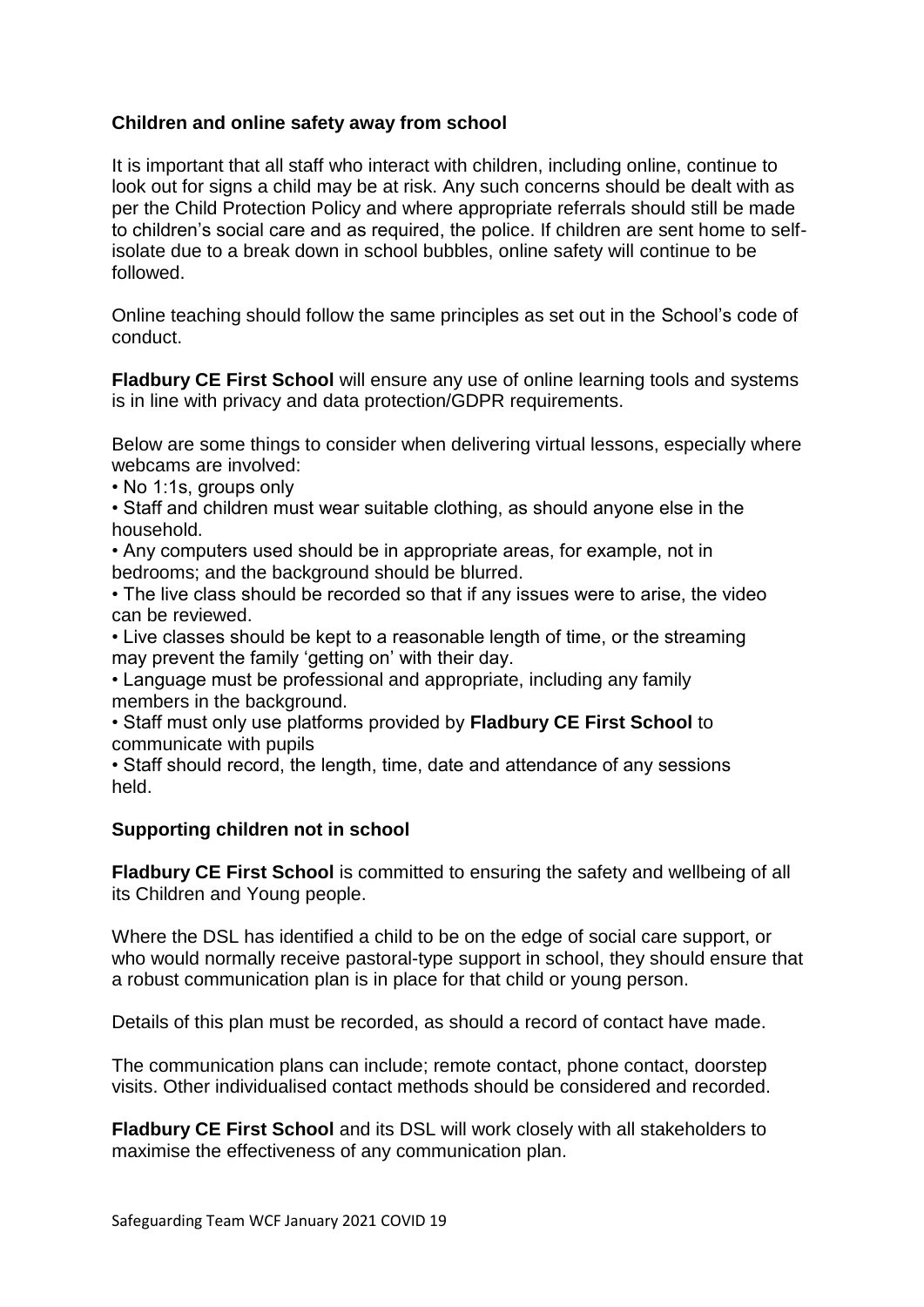# **Children and online safety away from school**

It is important that all staff who interact with children, including online, continue to look out for signs a child may be at risk. Any such concerns should be dealt with as per the Child Protection Policy and where appropriate referrals should still be made to children's social care and as required, the police. If children are sent home to selfisolate due to a break down in school bubbles, online safety will continue to be followed.

Online teaching should follow the same principles as set out in the School's code of conduct.

**Fladbury CE First School** will ensure any use of online learning tools and systems is in line with privacy and data protection/GDPR requirements.

Below are some things to consider when delivering virtual lessons, especially where webcams are involved:

• No 1:1s, groups only

• Staff and children must wear suitable clothing, as should anyone else in the household.

• Any computers used should be in appropriate areas, for example, not in bedrooms; and the background should be blurred.

• The live class should be recorded so that if any issues were to arise, the video can be reviewed.

• Live classes should be kept to a reasonable length of time, or the streaming may prevent the family 'getting on' with their day.

• Language must be professional and appropriate, including any family members in the background.

• Staff must only use platforms provided by **Fladbury CE First School** to communicate with pupils

• Staff should record, the length, time, date and attendance of any sessions held.

#### **Supporting children not in school**

**Fladbury CE First School** is committed to ensuring the safety and wellbeing of all its Children and Young people.

Where the DSL has identified a child to be on the edge of social care support, or who would normally receive pastoral-type support in school, they should ensure that a robust communication plan is in place for that child or young person.

Details of this plan must be recorded, as should a record of contact have made.

The communication plans can include; remote contact, phone contact, doorstep visits. Other individualised contact methods should be considered and recorded.

**Fladbury CE First School** and its DSL will work closely with all stakeholders to maximise the effectiveness of any communication plan.